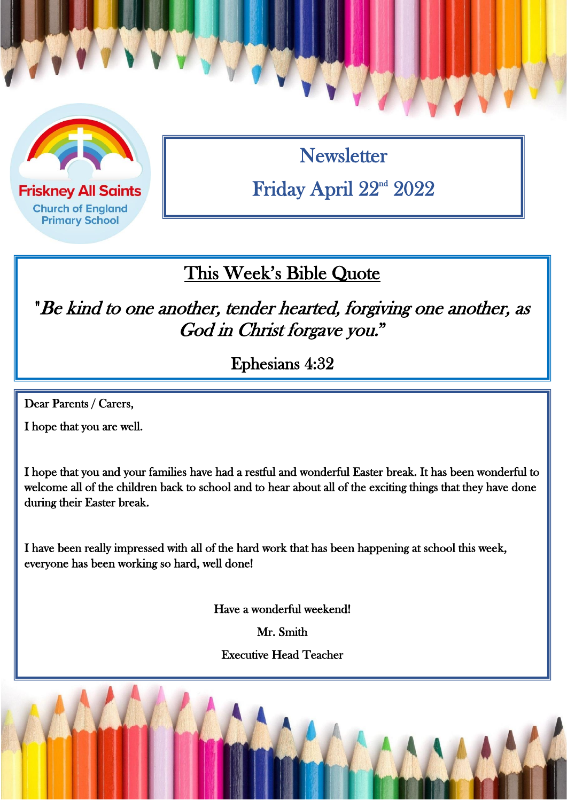

**Friskney All Saints Church of England Primary School** 

**Newsletter** Friday April 22<sup>nd</sup> 2022

### This Week's Bible Quote

"Be kind to one another, tender hearted, forgiving one another, as God in Christ forgave you."

Ephesians 4:32

Dear Parents / Carers,

 $\overline{a}$ 

I hope that you are well.

I hope that you and your families have had a restful and wonderful Easter break. It has been wonderful to welcome all of the children back to school and to hear about all of the exciting things that they have done during their Easter break.

I have been really impressed with all of the hard work that has been happening at school this week, everyone has been working so hard, well done!

Have a wonderful weekend!

Mr. Smith

Executive Head Teacher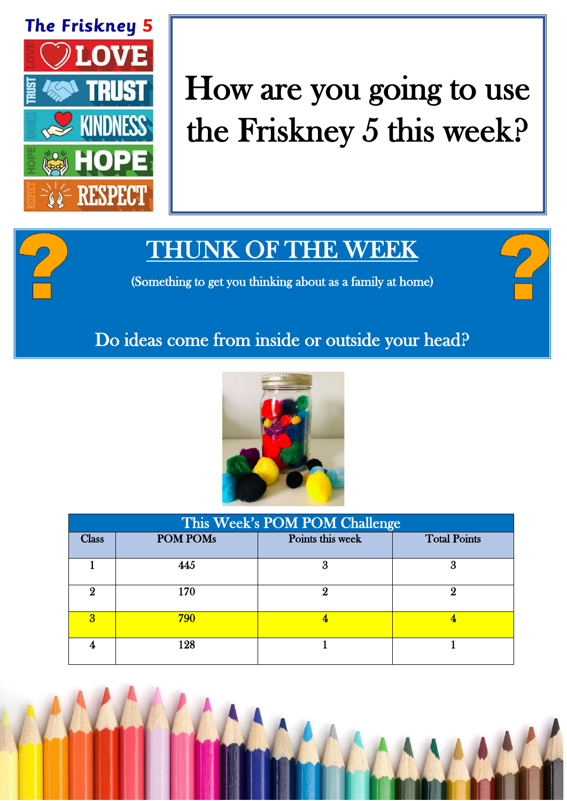

# How are you going to use the Friskney 5 this week?

# THUNK OF THE WEEK

(Something to get you thinking about as a family at home)

#### Do ideas come from inside or outside your head?



| This Week's POM POM Challenge |                 |                  |                     |  |
|-------------------------------|-----------------|------------------|---------------------|--|
| <b>Class</b>                  | <b>POM POMs</b> | Points this week | <b>Total Points</b> |  |
|                               | 445             | 3                | 3                   |  |
| 9                             | 170             |                  |                     |  |
| я                             | 790             |                  |                     |  |
|                               | 128             |                  |                     |  |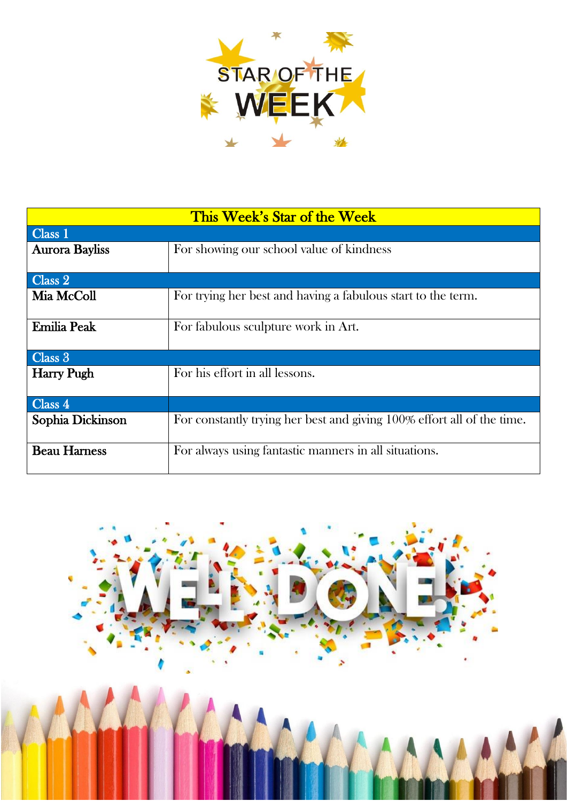

| This Week's Star of the Week |                                                                        |  |  |
|------------------------------|------------------------------------------------------------------------|--|--|
| Class 1                      |                                                                        |  |  |
| <b>Aurora Bayliss</b>        | For showing our school value of kindness                               |  |  |
|                              |                                                                        |  |  |
| Class 2                      |                                                                        |  |  |
| Mia McColl                   | For trying her best and having a fabulous start to the term.           |  |  |
| <b>Emilia Peak</b>           | For fabulous sculpture work in Art.                                    |  |  |
| $\overline{\text{Class } 3}$ |                                                                        |  |  |
| <b>Harry Pugh</b>            | For his effort in all lessons.                                         |  |  |
| Class 4                      |                                                                        |  |  |
| Sophia Dickinson             | For constantly trying her best and giving 100% effort all of the time. |  |  |
| <b>Beau Harness</b>          | For always using fantastic manners in all situations.                  |  |  |

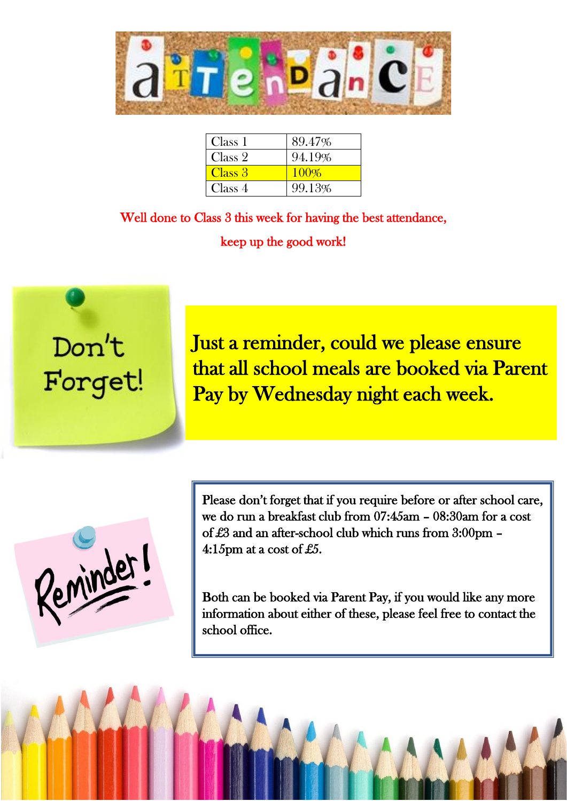

| Class 1 | 89.47% |
|---------|--------|
| Class 2 | 94.19% |
| Class 3 | 100%   |
| Class 4 | 99.13% |

Well done to Class 3 this week for having the best attendance, keep up the good work!

 $\overline{a}$ 



Just a reminder, could we please ensure that all school meals are booked via Parent Pay by Wednesday night each week.

Reminder

Please don't forget that if you require before or after school care, we do run a breakfast club from 07:45am – 08:30am for a cost of £3 and an after-school club which runs from 3:00pm – 4:15pm at a cost of £5.

Both can be booked via Parent Pay, if you would like any more information about either of these, please feel free to contact the school office.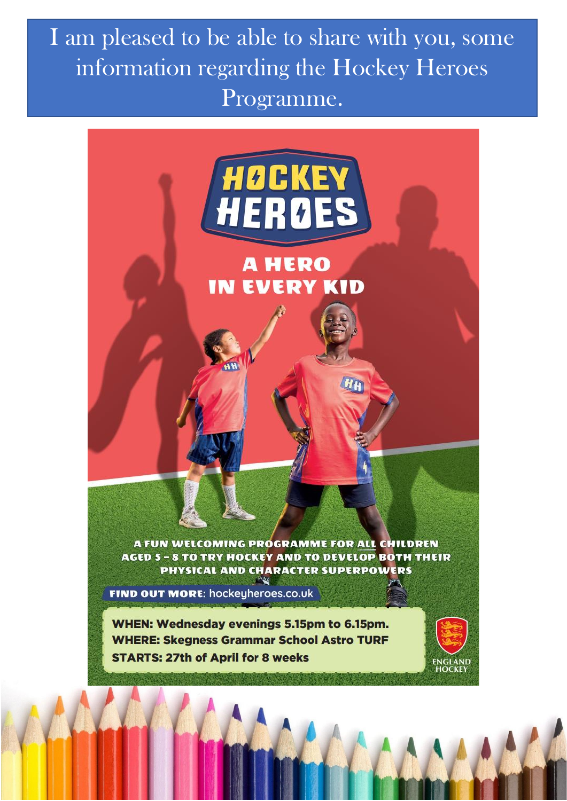I am pleased to be able to share with you, some information regarding the Hockey Heroes Programme.

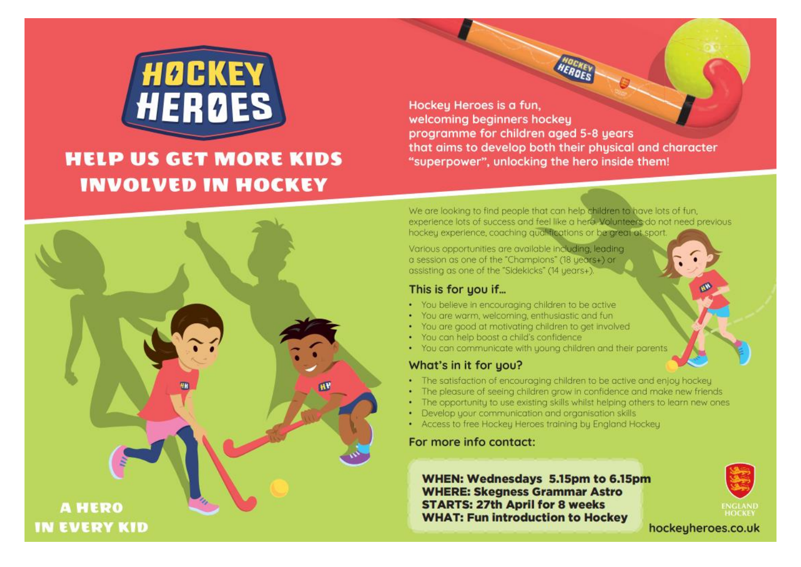

### **HELP US GET MORE KIDS INVOLVED IN HOCKEY**

**A HERO** 

**IN EVERY KID** 

Hockey Heroes is a fun. welcoming beginners hockey programme for children aged 5-8 years that aims to develop both their physical and character "superpower", unlocking the hero inside them!

We are looking to find people that can help children to have lots of fun. experience lots of success and feel like a hero. Volunteers do not need previous hockey experience, coaching qualifications or be great at sport.

Various opportunities are available including, leading a session as one of the "Champions" (18 years+) or assisting as one of the "Sidekicks" (14 years+)

#### This is for you if...

- . You believe in encouraging children to be active
- You are warm, welcoming, enthusiastic and fun
- . You are good at motivating children to get involved
- · You can help boost a child's confidence
- . You can communicate with young children and their parents

#### What's in it for you?

- The satisfaction of encouraging children to be active and enjoy hockey
- The pleasure of seeing children grow in confidence and make new friends
- The opportunity to use existing skills whilst helping others to learn new ones
- Develop your communication and organisation skills
- Access to free Hockey Heroes training by England Hockey

#### For more info contact:

WHEN: Wednesdays 5.15pm to 6.15pm **WHERE: Skegness Grammar Astro STARTS: 27th April for 8 weeks WHAT: Fun introduction to Hockey** 



hockeyheroes.co.uk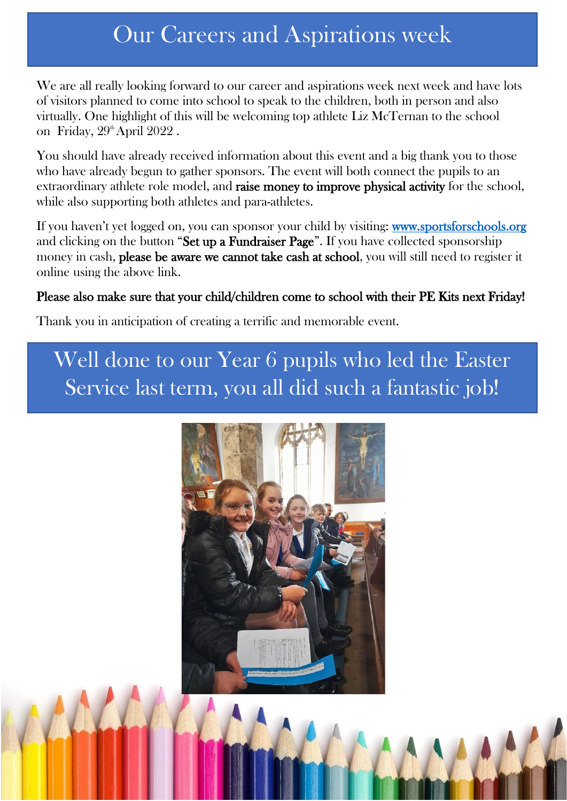## Our Careers and Aspirations week

 of visitors planned to come into school to speak to the children, both in person and also We are all really looking forward to our career and aspirations week next week and have lots virtually. One highlight of this will be welcoming top athlete Liz McTernan to the school on Friday,  $29^{\text{th}}$ April  $2022$ .

You should have already received information about this event and a big thank you to those who have already begun to gather sponsors. The event will both connect the pupils to an extraordinary athlete role model, and raise money to improve physical activity for the school, while also supporting both athletes and para-athletes.

If you haven't yet logged on, you can sponsor your child by visiting: www.sportsforschools.org and clicking on the button "Set up a Fundraiser Page". If you have collected sponsorship money in cash, please be aware we cannot take cash at school, you will still need to register it online using the above link.

#### Please also make sure that your child/children come to school with their PE Kits next Friday!

Thank you in anticipation of creating a terrific and memorable event.

# Well done to our Year 6 pupils who led the Easter Service last term, you all did such a fantastic job!